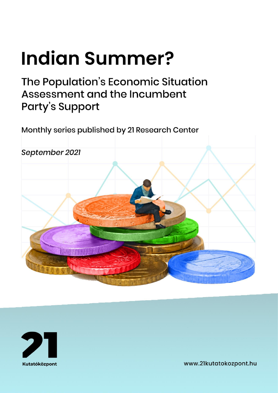# **Indian Summer?**

# The Population's Economic Situation Assessment and the Incumbent **Party's Support**

Monthly series published by 21 Research Center





www.21kutatokozpont.hu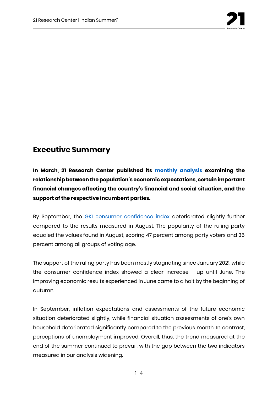

## **Executive Summary**

**In March, 21 Research Center published its [monthly analysis](https://21kutatokozpont.hu/wp-content/uploads/2021/03/bizalmi_21marc.pdf) examining the relationship between the population's economic expectations, certain important financial changes affecting the country's financial and social situation, and the support of the respective incumbent parties.**

By September, the **[GKI consumer confidence index](https://www.gki.hu/language/hu/2021/09/26/szeptemberben-megallt-a-gki-konjunkturaindexenek-emelkedese/)** deteriorated slightly further compared to the results measured in August. The popularity of the ruling party equaled the values found in August, scoring 47 percent among party voters and 35 percent among all groups of voting age.

The support of the ruling party has been mostly stagnating since January 2021, while the consumer confidence index showed a clear increase - up until June. The improving economic results experienced in June came to a halt by the beginning of autumn.

In September, inflation expectations and assessments of the future economic situation deteriorated slightly, while financial situation assessments of one's own household deteriorated significantly compared to the previous month. In contrast, perceptions of unemployment improved. Overall, thus, the trend measured at the end of the summer continued to prevail, with the gap between the two indicators measured in our analysis widening.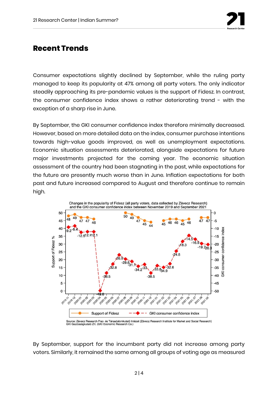

### **Recent Trends**

Consumer expectations slightly declined by September, while the ruling party managed to keep its popularity at 47% among all party voters. The only indicator steadily approaching its pre-pandemic values is the support of Fidesz. In contrast, the consumer confidence index shows a rather deteriorating trend - with the exception of a sharp rise in June.

By September, the GKI consumer confidence index therefore minimally decreased. However, based on more detailed data on the index, consumer purchase intentions towards high-value goods improved, as well as unemployment expectations. Economic situation assessments deteriorated, alongside expectations for future major investments projected for the coming year. The economic situation assessment of the country had been stagnating in the past, while expectations for the future are presently much worse than in June. Inflation expectations for both past and future increased compared to August and therefore continue to remain high.



By September, support for the incumbent party did not increase among party voters. Similarly, it remained the same among all groups of voting age as measured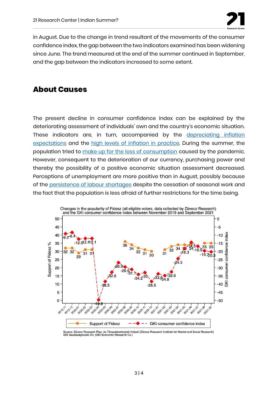

in August. Due to the change in trend resultant of the movements of the consumer confidence index, the gap between the two indicators examined has been widening since June. The trend measured at the end of the summer continued in September, and the gap between the indicators increased to some extent.

#### **About Causes**

The present decline in consumer confidence index can be explained by the deteriorating assessment of individuals' own and the country's economic situation. These indicators are, in turn, accompanied by the depreciating inflation [expectations](https://www.penzcentrum.hu/gazdasag/20210804/egekben-az-inflacio-magyarorszagon-europaban-peldatlan-merteku-a-hazai-dragulas-1116732) and the [high levels of inflation in practice.](https://www.ksh.hu/arak) During the summer, the population tried to [make up for the loss of consumption](https://www.ipsos.com/hu-hu/jarvany-elotti-idoszakot-tulszarnyalo-lakossagi-koltesek) caused by the pandemic. However, consequent to the deterioration of our currency, purchasing power and thereby the possibility of a positive economic situation assessment decreased. Perceptions of unemployment are more positive than in August, possibly because of the [persistence of labour shortages](https://www.portfolio.hu/gazdasag/20210914/egyre-nagyobb-a-munkaerohiany-toborozzak-a-diakokat-500532) despite the cessation of seasonal work and the fact that the population is less afraid of further restrictions for the time being.



Source: Závecz Research Piac- és Társadalomkutató Intézet (Závecz Research Institute for Market and Social Research) GKI Gazdaságkutató Zrt. (GKI Economic Research Co.)